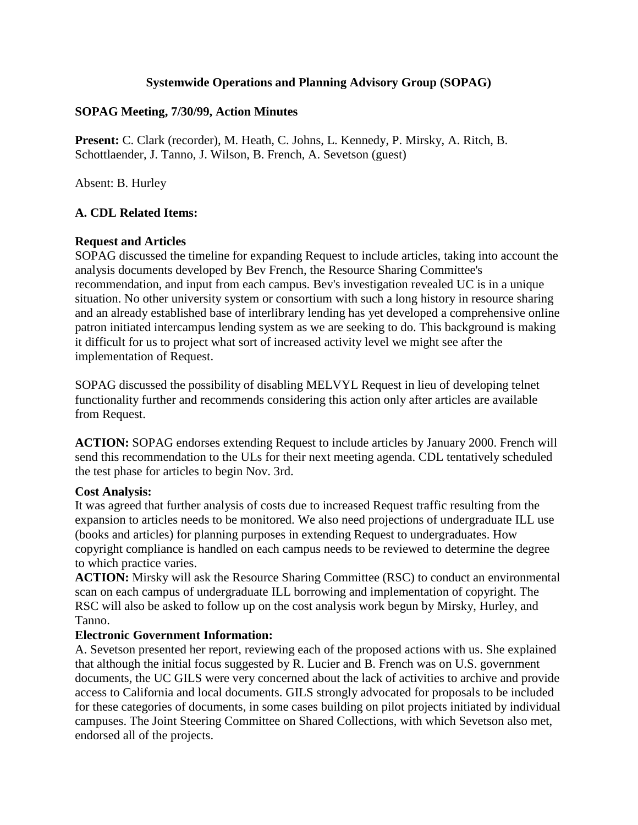## **Systemwide Operations and Planning Advisory Group (SOPAG)**

#### **SOPAG Meeting, 7/30/99, Action Minutes**

**Present:** C. Clark (recorder), M. Heath, C. Johns, L. Kennedy, P. Mirsky, A. Ritch, B. Schottlaender, J. Tanno, J. Wilson, B. French, A. Sevetson (guest)

Absent: B. Hurley

## **A. CDL Related Items:**

#### **Request and Articles**

SOPAG discussed the timeline for expanding Request to include articles, taking into account the analysis documents developed by Bev French, the Resource Sharing Committee's recommendation, and input from each campus. Bev's investigation revealed UC is in a unique situation. No other university system or consortium with such a long history in resource sharing and an already established base of interlibrary lending has yet developed a comprehensive online patron initiated intercampus lending system as we are seeking to do. This background is making it difficult for us to project what sort of increased activity level we might see after the implementation of Request.

SOPAG discussed the possibility of disabling MELVYL Request in lieu of developing telnet functionality further and recommends considering this action only after articles are available from Request.

**ACTION:** SOPAG endorses extending Request to include articles by January 2000. French will send this recommendation to the ULs for their next meeting agenda. CDL tentatively scheduled the test phase for articles to begin Nov. 3rd.

#### **Cost Analysis:**

It was agreed that further analysis of costs due to increased Request traffic resulting from the expansion to articles needs to be monitored. We also need projections of undergraduate ILL use (books and articles) for planning purposes in extending Request to undergraduates. How copyright compliance is handled on each campus needs to be reviewed to determine the degree to which practice varies.

**ACTION:** Mirsky will ask the Resource Sharing Committee (RSC) to conduct an environmental scan on each campus of undergraduate ILL borrowing and implementation of copyright. The RSC will also be asked to follow up on the cost analysis work begun by Mirsky, Hurley, and Tanno.

#### **Electronic Government Information:**

A. Sevetson presented her report, reviewing each of the proposed actions with us. She explained that although the initial focus suggested by R. Lucier and B. French was on U.S. government documents, the UC GILS were very concerned about the lack of activities to archive and provide access to California and local documents. GILS strongly advocated for proposals to be included for these categories of documents, in some cases building on pilot projects initiated by individual campuses. The Joint Steering Committee on Shared Collections, with which Sevetson also met, endorsed all of the projects.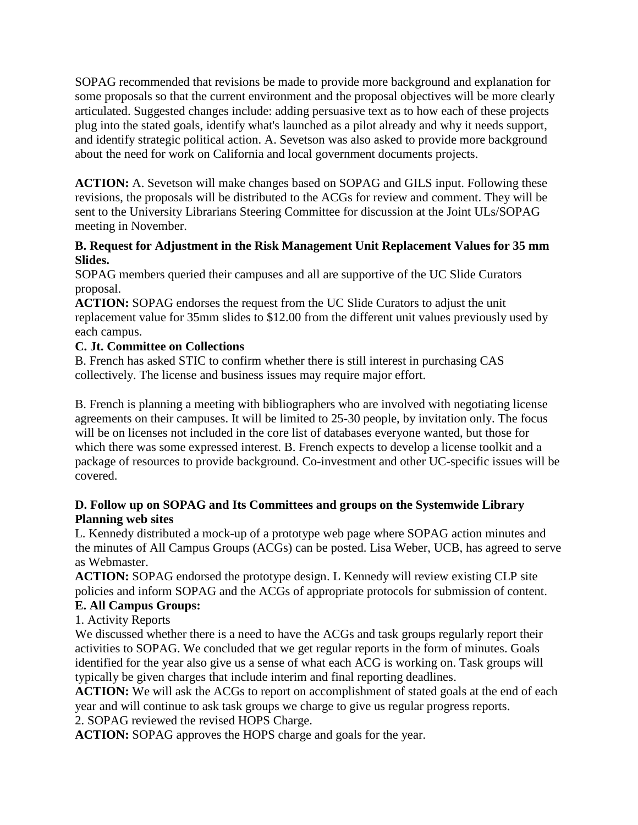SOPAG recommended that revisions be made to provide more background and explanation for some proposals so that the current environment and the proposal objectives will be more clearly articulated. Suggested changes include: adding persuasive text as to how each of these projects plug into the stated goals, identify what's launched as a pilot already and why it needs support, and identify strategic political action. A. Sevetson was also asked to provide more background about the need for work on California and local government documents projects.

**ACTION:** A. Sevetson will make changes based on SOPAG and GILS input. Following these revisions, the proposals will be distributed to the ACGs for review and comment. They will be sent to the University Librarians Steering Committee for discussion at the Joint ULs/SOPAG meeting in November.

## **B. Request for Adjustment in the Risk Management Unit Replacement Values for 35 mm Slides.**

SOPAG members queried their campuses and all are supportive of the UC Slide Curators proposal.

**ACTION:** SOPAG endorses the request from the UC Slide Curators to adjust the unit replacement value for 35mm slides to \$12.00 from the different unit values previously used by each campus.

## **C. Jt. Committee on Collections**

B. French has asked STIC to confirm whether there is still interest in purchasing CAS collectively. The license and business issues may require major effort.

B. French is planning a meeting with bibliographers who are involved with negotiating license agreements on their campuses. It will be limited to 25-30 people, by invitation only. The focus will be on licenses not included in the core list of databases everyone wanted, but those for which there was some expressed interest. B. French expects to develop a license toolkit and a package of resources to provide background. Co-investment and other UC-specific issues will be covered.

## **D. Follow up on SOPAG and Its Committees and groups on the Systemwide Library Planning web sites**

L. Kennedy distributed a mock-up of a prototype web page where SOPAG action minutes and the minutes of All Campus Groups (ACGs) can be posted. Lisa Weber, UCB, has agreed to serve as Webmaster.

**ACTION:** SOPAG endorsed the prototype design. L Kennedy will review existing CLP site policies and inform SOPAG and the ACGs of appropriate protocols for submission of content.

# **E. All Campus Groups:**

1. Activity Reports

We discussed whether there is a need to have the ACGs and task groups regularly report their activities to SOPAG. We concluded that we get regular reports in the form of minutes. Goals identified for the year also give us a sense of what each ACG is working on. Task groups will typically be given charges that include interim and final reporting deadlines.

**ACTION:** We will ask the ACGs to report on accomplishment of stated goals at the end of each year and will continue to ask task groups we charge to give us regular progress reports. 2. SOPAG reviewed the revised HOPS Charge.

**ACTION:** SOPAG approves the HOPS charge and goals for the year.